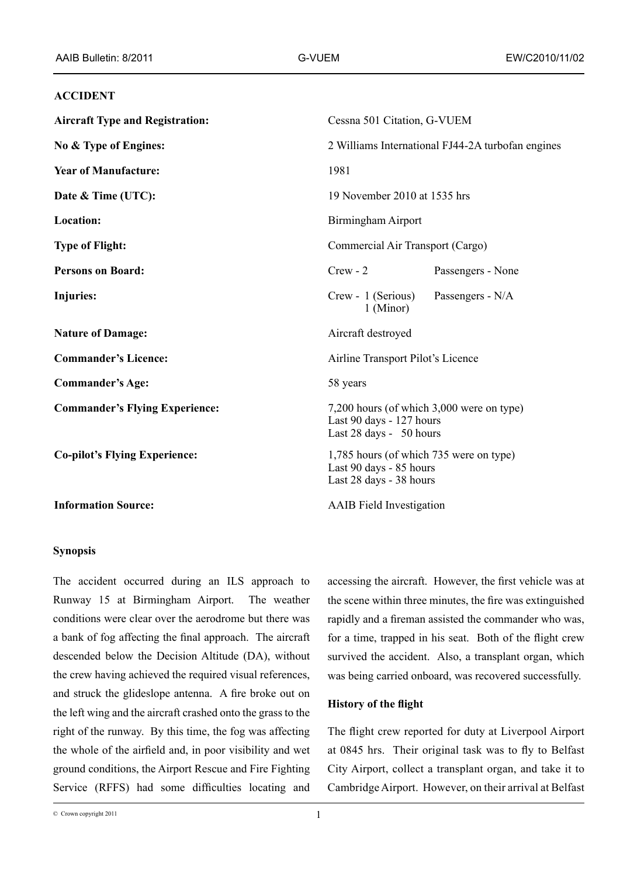## **ACCIDENT**

| <b>Aircraft Type and Registration:</b> | Cessna 501 Citation, G-VUEM                                                                      |  |
|----------------------------------------|--------------------------------------------------------------------------------------------------|--|
| No & Type of Engines:                  | 2 Williams International FJ44-2A turbofan engines                                                |  |
| <b>Year of Manufacture:</b>            | 1981                                                                                             |  |
| Date & Time (UTC):                     | 19 November 2010 at 1535 hrs                                                                     |  |
| Location:                              | Birmingham Airport                                                                               |  |
| <b>Type of Flight:</b>                 | Commercial Air Transport (Cargo)                                                                 |  |
| <b>Persons on Board:</b>               | $Crew - 2$<br>Passengers - None                                                                  |  |
| <b>Injuries:</b>                       | Passengers - N/A<br>Crew - 1 (Serious)<br>1 (Minor)                                              |  |
| <b>Nature of Damage:</b>               | Aircraft destroyed                                                                               |  |
| <b>Commander's Licence:</b>            | Airline Transport Pilot's Licence                                                                |  |
| <b>Commander's Age:</b>                | 58 years                                                                                         |  |
| <b>Commander's Flying Experience:</b>  | 7,200 hours (of which 3,000 were on type)<br>Last 90 days - 127 hours<br>Last 28 days - 50 hours |  |
| <b>Co-pilot's Flying Experience:</b>   | 1,785 hours (of which 735 were on type)<br>Last 90 days - 85 hours<br>Last 28 days - 38 hours    |  |
| <b>Information Source:</b>             | <b>AAIB</b> Field Investigation                                                                  |  |
|                                        |                                                                                                  |  |

#### **Synopsis**

The accident occurred during an ILS approach to Runway 15 at Birmingham Airport. The weather conditions were clear over the aerodrome but there was a bank of fog affecting the final approach. The aircraft descended below the Decision Altitude (DA), without the crew having achieved the required visual references, and struck the glideslope antenna. A fire broke out on the left wing and the aircraft crashed onto the grass to the right of the runway. By this time, the fog was affecting the whole of the airfield and, in poor visibility and wet ground conditions, the Airport Rescue and Fire Fighting Service (RFFS) had some difficulties locating and

accessing the aircraft. However, the first vehicle was at the scene within three minutes, the fire was extinguished rapidly and a fireman assisted the commander who was, for a time, trapped in his seat. Both of the flight crew survived the accident. Also, a transplant organ, which was being carried onboard, was recovered successfully.

### **History of the flight**

The flight crew reported for duty at Liverpool Airport at 0845 hrs. Their original task was to fly to Belfast City Airport, collect a transplant organ, and take it to Cambridge Airport. However, on their arrival at Belfast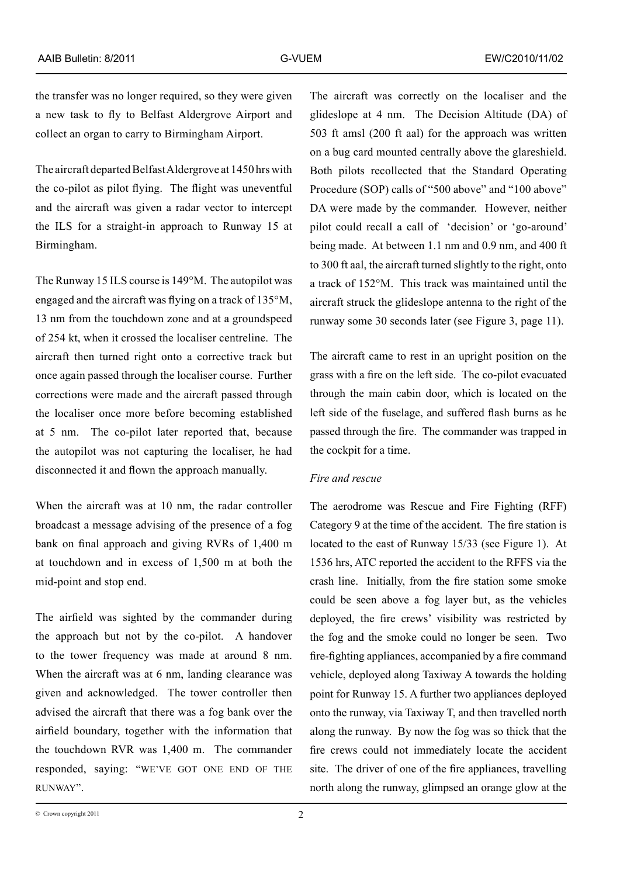the transfer was no longer required, so they were given a new task to fly to Belfast Aldergrove Airport and collect an organ to carry to Birmingham Airport.

The aircraft departed Belfast Aldergrove at 1450 hrs with the co-pilot as pilot flying. The flight was uneventful and the aircraft was given a radar vector to intercept the ILS for a straight-in approach to Runway 15 at Birmingham.

The Runway 15 ILS course is 149°M. The autopilot was engaged and the aircraft was flying on a track of 135°M, 13 nm from the touchdown zone and at a groundspeed of 254 kt, when it crossed the localiser centreline. The aircraft then turned right onto a corrective track but once again passed through the localiser course. Further corrections were made and the aircraft passed through the localiser once more before becoming established at 5 nm. The co-pilot later reported that, because the autopilot was not capturing the localiser, he had disconnected it and flown the approach manually.

When the aircraft was at 10 nm, the radar controller broadcast a message advising of the presence of a fog bank on final approach and giving RVRs of 1,400 m at touchdown and in excess of 1,500 m at both the mid-point and stop end.

The airfield was sighted by the commander during the approach but not by the co-pilot. A handover to the tower frequency was made at around 8 nm. When the aircraft was at 6 nm, landing clearance was given and acknowledged. The tower controller then advised the aircraft that there was a fog bank over the airfield boundary, together with the information that the touchdown RVR was 1,400 m. The commander responded, saying: "WE'VE GOT ONE END OF THE RUNWAY".

The aircraft was correctly on the localiser and the glideslope at 4 nm. The Decision Altitude (DA) of 503 ft amsl (200 ft aal) for the approach was written on a bug card mounted centrally above the glareshield. Both pilots recollected that the Standard Operating Procedure (SOP) calls of "500 above" and "100 above" DA were made by the commander. However, neither pilot could recall a call of 'decision' or 'go-around' being made. At between 1.1 nm and 0.9 nm, and 400 ft to 300 ft aal, the aircraft turned slightly to the right, onto a track of 152°M. This track was maintained until the aircraft struck the glideslope antenna to the right of the runway some 30 seconds later (see Figure 3, page 11).

The aircraft came to rest in an upright position on the grass with a fire on the left side. The co-pilot evacuated through the main cabin door, which is located on the left side of the fuselage, and suffered flash burns as he passed through the fire. The commander was trapped in the cockpit for a time.

## *Fire and rescue*

The aerodrome was Rescue and Fire Fighting (RFF) Category 9 at the time of the accident. The fire station is located to the east of Runway 15/33 (see Figure 1). At 1536 hrs, ATC reported the accident to the RFFS via the crash line. Initially, from the fire station some smoke could be seen above a fog layer but, as the vehicles deployed, the fire crews' visibility was restricted by the fog and the smoke could no longer be seen. Two fire‑fighting appliances, accompanied by a fire command vehicle, deployed along Taxiway A towards the holding point for Runway 15. A further two appliances deployed onto the runway, via Taxiway T, and then travelled north along the runway. By now the fog was so thick that the fire crews could not immediately locate the accident site. The driver of one of the fire appliances, travelling north along the runway, glimpsed an orange glow at the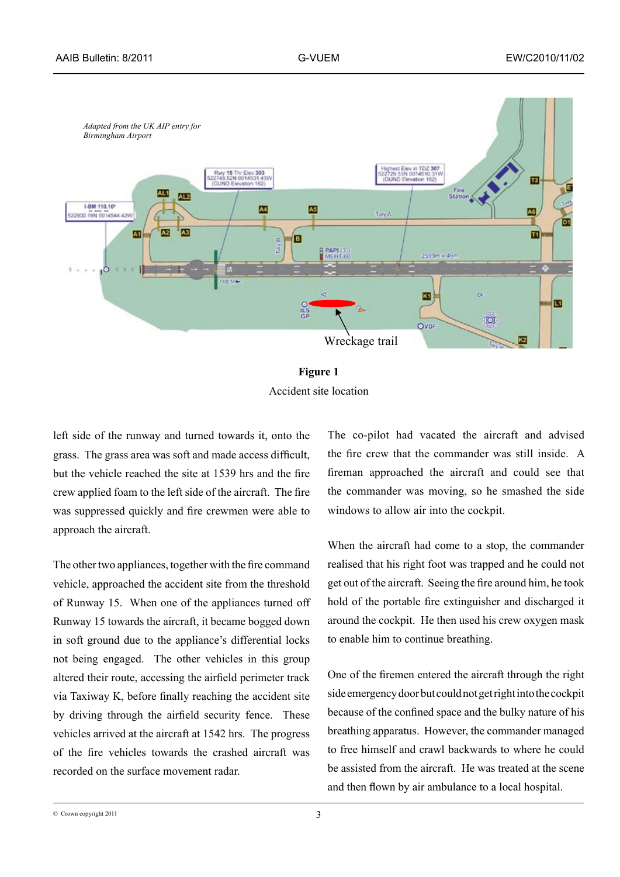



left side of the runway and turned towards it, onto the grass. The grass area was soft and made access difficult, but the vehicle reached the site at 1539 hrs and the fire crew applied foam to the left side of the aircraft. The fire was suppressed quickly and fire crewmen were able to approach the aircraft.

The other two appliances, together with the fire command vehicle, approached the accident site from the threshold of Runway 15. When one of the appliances turned off Runway 15 towards the aircraft, it became bogged down in soft ground due to the appliance's differential locks not being engaged. The other vehicles in this group altered their route, accessing the airfield perimeter track via Taxiway K, before finally reaching the accident site by driving through the airfield security fence. These vehicles arrived at the aircraft at 1542 hrs. The progress of the fire vehicles towards the crashed aircraft was recorded on the surface movement radar.

The co-pilot had vacated the aircraft and advised the fire crew that the commander was still inside. A fireman approached the aircraft and could see that the commander was moving, so he smashed the side windows to allow air into the cockpit.

When the aircraft had come to a stop, the commander realised that his right foot was trapped and he could not get out of the aircraft. Seeing the fire around him, he took hold of the portable fire extinguisher and discharged it around the cockpit. He then used his crew oxygen mask to enable him to continue breathing.

One of the firemen entered the aircraft through the right side emergency door but could not get right into the cockpit because of the confined space and the bulky nature of his breathing apparatus. However, the commander managed to free himself and crawl backwards to where he could be assisted from the aircraft. He was treated at the scene and then flown by air ambulance to a local hospital.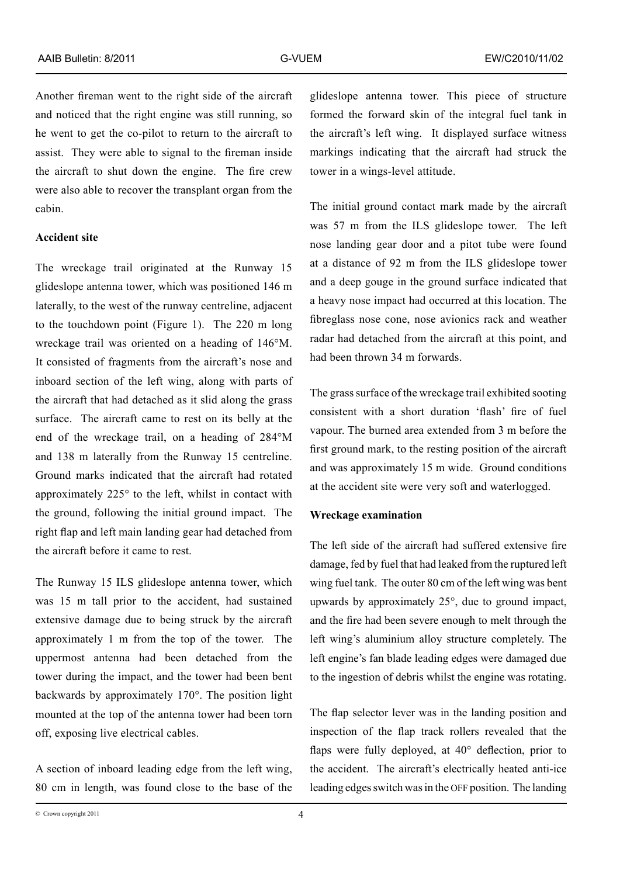Another fireman went to the right side of the aircraft and noticed that the right engine was still running, so he went to get the co-pilot to return to the aircraft to assist. They were able to signal to the fireman inside the aircraft to shut down the engine. The fire crew were also able to recover the transplant organ from the cabin.

#### **Accident site**

The wreckage trail originated at the Runway 15 glideslope antenna tower, which was positioned 146 m laterally, to the west of the runway centreline, adjacent to the touchdown point (Figure 1). The 220 m long wreckage trail was oriented on a heading of 146°M. It consisted of fragments from the aircraft's nose and inboard section of the left wing, along with parts of the aircraft that had detached as it slid along the grass surface. The aircraft came to rest on its belly at the end of the wreckage trail, on a heading of 284°M and 138 m laterally from the Runway 15 centreline. Ground marks indicated that the aircraft had rotated approximately 225° to the left, whilst in contact with the ground, following the initial ground impact. The right flap and left main landing gear had detached from the aircraft before it came to rest.

The Runway 15 ILS glideslope antenna tower, which was 15 m tall prior to the accident, had sustained extensive damage due to being struck by the aircraft approximately 1 m from the top of the tower. The uppermost antenna had been detached from the tower during the impact, and the tower had been bent backwards by approximately 170°. The position light mounted at the top of the antenna tower had been torn off, exposing live electrical cables.

A section of inboard leading edge from the left wing, 80 cm in length, was found close to the base of the glideslope antenna tower. This piece of structure formed the forward skin of the integral fuel tank in the aircraft's left wing. It displayed surface witness markings indicating that the aircraft had struck the tower in a wings-level attitude.

The initial ground contact mark made by the aircraft was 57 m from the ILS glideslope tower. The left nose landing gear door and a pitot tube were found at a distance of 92 m from the ILS glideslope tower and a deep gouge in the ground surface indicated that a heavy nose impact had occurred at this location. The fibreglass nose cone, nose avionics rack and weather radar had detached from the aircraft at this point, and had been thrown 34 m forwards.

The grass surface of the wreckage trail exhibited sooting consistent with a short duration 'flash' fire of fuel vapour. The burned area extended from 3 m before the first ground mark, to the resting position of the aircraft and was approximately 15 m wide. Ground conditions at the accident site were very soft and waterlogged.

#### **Wreckage examination**

The left side of the aircraft had suffered extensive fire damage, fed by fuel that had leaked from the ruptured left wing fuel tank. The outer 80 cm of the left wing was bent upwards by approximately 25°, due to ground impact, and the fire had been severe enough to melt through the left wing's aluminium alloy structure completely. The left engine's fan blade leading edges were damaged due to the ingestion of debris whilst the engine was rotating.

The flap selector lever was in the landing position and inspection of the flap track rollers revealed that the flaps were fully deployed, at 40° deflection, prior to the accident. The aircraft's electrically heated anti-ice leading edges switch was in the OFF position. The landing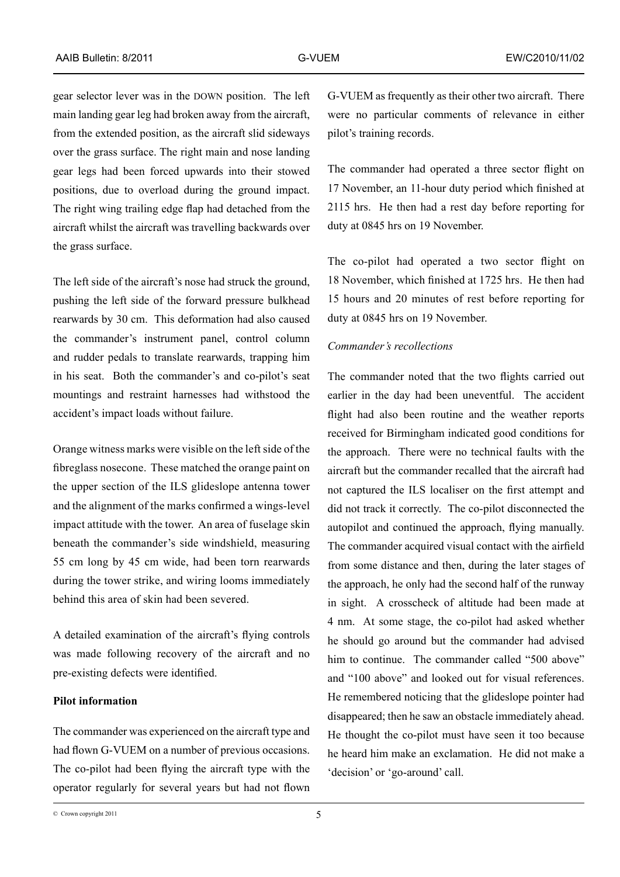gear selector lever was in the DOWN position. The left main landing gear leg had broken away from the aircraft, from the extended position, as the aircraft slid sideways over the grass surface. The right main and nose landing gear legs had been forced upwards into their stowed positions, due to overload during the ground impact. The right wing trailing edge flap had detached from the aircraft whilst the aircraft was travelling backwards over the grass surface.

The left side of the aircraft's nose had struck the ground, pushing the left side of the forward pressure bulkhead rearwards by 30 cm. This deformation had also caused the commander's instrument panel, control column and rudder pedals to translate rearwards, trapping him in his seat. Both the commander's and co-pilot's seat mountings and restraint harnesses had withstood the accident's impact loads without failure.

Orange witness marks were visible on the left side of the fibreglass nosecone. These matched the orange paint on the upper section of the ILS glideslope antenna tower and the alignment of the marks confirmed a wings-level impact attitude with the tower. An area of fuselage skin beneath the commander's side windshield, measuring 55 cm long by 45 cm wide, had been torn rearwards during the tower strike, and wiring looms immediately behind this area of skin had been severed.

A detailed examination of the aircraft's flying controls was made following recovery of the aircraft and no pre‑existing defects were identified.

# **Pilot information**

The commander was experienced on the aircraft type and had flown G-VUEM on a number of previous occasions. The co-pilot had been flying the aircraft type with the operator regularly for several years but had not flown G-VUEM as frequently as their other two aircraft. There were no particular comments of relevance in either pilot's training records.

The commander had operated a three sector flight on 17 November, an 11-hour duty period which finished at 2115 hrs. He then had a rest day before reporting for duty at 0845 hrs on 19 November.

The co-pilot had operated a two sector flight on 18 November, which finished at 1725 hrs. He then had 15 hours and 20 minutes of rest before reporting for duty at 0845 hrs on 19 November.

#### *Commander's recollections*

The commander noted that the two flights carried out earlier in the day had been uneventful. The accident flight had also been routine and the weather reports received for Birmingham indicated good conditions for the approach. There were no technical faults with the aircraft but the commander recalled that the aircraft had not captured the ILS localiser on the first attempt and did not track it correctly. The co-pilot disconnected the autopilot and continued the approach, flying manually. The commander acquired visual contact with the airfield from some distance and then, during the later stages of the approach, he only had the second half of the runway in sight. A crosscheck of altitude had been made at 4 nm. At some stage, the co-pilot had asked whether he should go around but the commander had advised him to continue. The commander called "500 above" and "100 above" and looked out for visual references. He remembered noticing that the glideslope pointer had disappeared; then he saw an obstacle immediately ahead. He thought the co-pilot must have seen it too because he heard him make an exclamation. He did not make a 'decision' or 'go-around' call.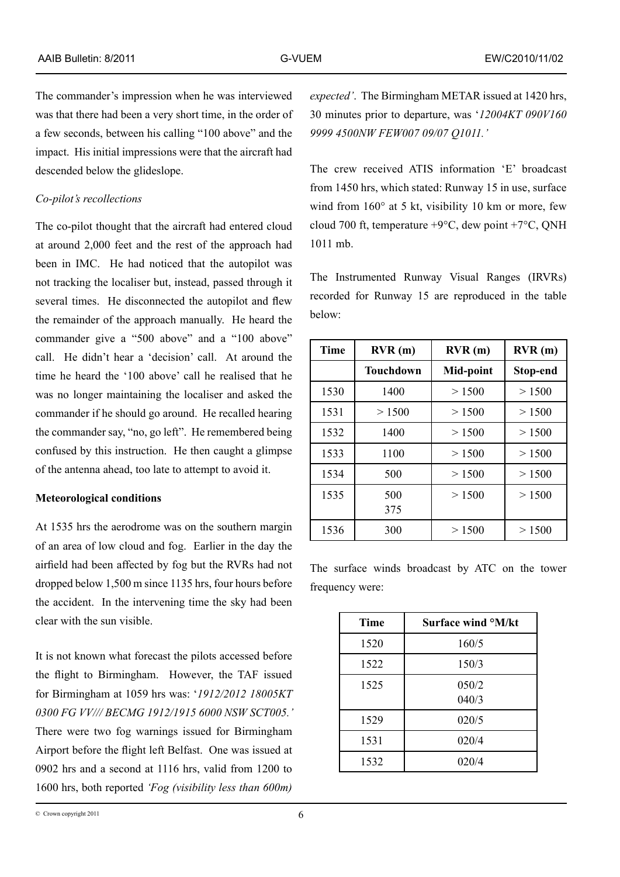The commander's impression when he was interviewed was that there had been a very short time, in the order of a few seconds, between his calling "100 above" and the impact. His initial impressions were that the aircraft had descended below the glideslope.

## *Co-pilot's recollections*

The co-pilot thought that the aircraft had entered cloud at around 2,000 feet and the rest of the approach had been in IMC. He had noticed that the autopilot was not tracking the localiser but, instead, passed through it several times. He disconnected the autopilot and flew the remainder of the approach manually. He heard the commander give a "500 above" and a "100 above" call. He didn't hear a 'decision' call. At around the time he heard the '100 above' call he realised that he was no longer maintaining the localiser and asked the commander if he should go around. He recalled hearing the commander say, "no, go left". He remembered being confused by this instruction. He then caught a glimpse of the antenna ahead, too late to attempt to avoid it.

### **Meteorological conditions**

At 1535 hrs the aerodrome was on the southern margin of an area of low cloud and fog. Earlier in the day the airfield had been affected by fog but the RVRs had not dropped below 1,500 m since 1135 hrs, four hours before the accident. In the intervening time the sky had been clear with the sun visible.

It is not known what forecast the pilots accessed before the flight to Birmingham. However, the TAF issued for Birmingham at 1059 hrs was: '*1912/2012 18005KT 0300 FG VV/// BECMG 1912/1915 6000 NSW SCT005.'*  There were two fog warnings issued for Birmingham Airport before the flight left Belfast. One was issued at 0902 hrs and a second at 1116 hrs, valid from 1200 to 1600 hrs, both reported *'Fog (visibility less than 600m)* 

*expected'*. The Birmingham METAR issued at 1420 hrs, 30 minutes prior to departure, was '*12004KT 090V160 9999 4500NW FEW007 09/07 Q1011.'*

The crew received ATIS information 'E' broadcast from 1450 hrs, which stated: Runway 15 in use, surface wind from 160° at 5 kt, visibility 10 km or more, few cloud 700 ft, temperature  $+9^{\circ}$ C, dew point  $+7^{\circ}$ C, ONH 1011 mb.

The Instrumented Runway Visual Ranges (IRVRs) recorded for Runway 15 are reproduced in the table below:

| <b>Time</b> | RVR(m)    | RVR(m)    | RVR(m)   |
|-------------|-----------|-----------|----------|
|             | Touchdown | Mid-point | Stop-end |
| 1530        | 1400      | > 1500    | > 1500   |
| 1531        | > 1500    | > 1500    | > 1500   |
| 1532        | 1400      | > 1500    | > 1500   |
| 1533        | 1100      | > 1500    | > 1500   |
| 1534        | 500       | > 1500    | > 1500   |
| 1535        | 500       | > 1500    | > 1500   |
|             | 375       |           |          |
| 1536        | 300       | > 1500    | > 1500   |

The surface winds broadcast by ATC on the tower frequency were:

| <b>Time</b> | Surface wind <sup>o</sup> M/kt |
|-------------|--------------------------------|
| 1520        | 160/5                          |
| 1522        | 150/3                          |
| 1525        | 050/2<br>040/3                 |
| 1529        | 020/5                          |
| 1531        | 020/4                          |
| 1532        | 020/4                          |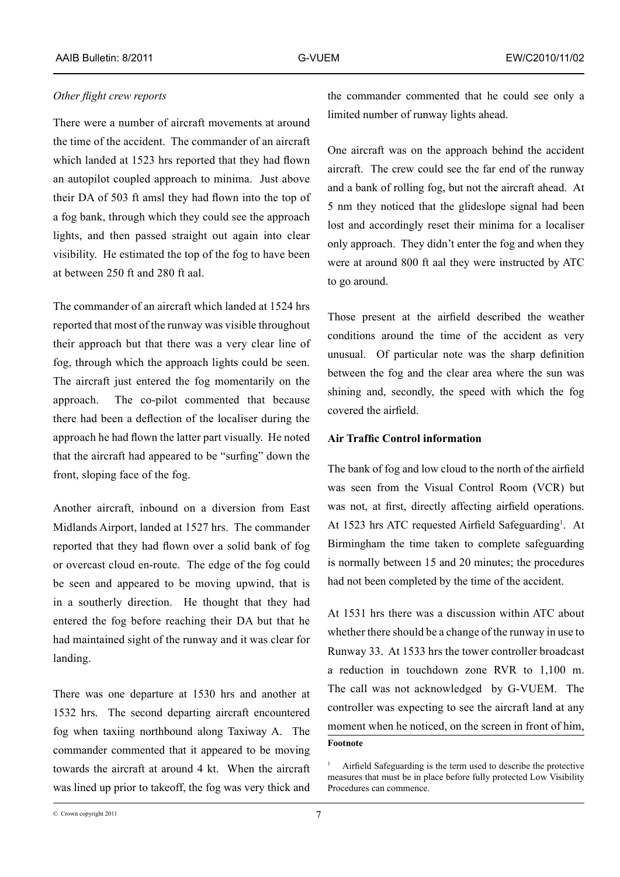## *Other flight crew reports*

There were a number of aircraft movements at around the time of the accident. The commander of an aircraft which landed at 1523 hrs reported that they had flown an autopilot coupled approach to minima. Just above their DA of 503 ft amsl they had flown into the top of a fog bank, through which they could see the approach lights, and then passed straight out again into clear visibility. He estimated the top of the fog to have been at between 250 ft and 280 ft aal.

The commander of an aircraft which landed at 1524 hrs reported that most of the runway was visible throughout their approach but that there was a very clear line of fog, through which the approach lights could be seen. The aircraft just entered the fog momentarily on the approach. The co-pilot commented that because there had been a deflection of the localiser during the approach he had flown the latter part visually. He noted that the aircraft had appeared to be "surfing" down the front, sloping face of the fog.

Another aircraft, inbound on a diversion from East Midlands Airport, landed at 1527 hrs. The commander reported that they had flown over a solid bank of fog or overcast cloud en-route. The edge of the fog could be seen and appeared to be moving upwind, that is in a southerly direction. He thought that they had entered the fog before reaching their DA but that he had maintained sight of the runway and it was clear for landing.

There was one departure at 1530 hrs and another at 1532 hrs. The second departing aircraft encountered fog when taxiing northbound along Taxiway A. The commander commented that it appeared to be moving towards the aircraft at around 4 kt. When the aircraft was lined up prior to takeoff, the fog was very thick and the commander commented that he could see only a limited number of runway lights ahead.

One aircraft was on the approach behind the accident aircraft. The crew could see the far end of the runway and a bank of rolling fog, but not the aircraft ahead. At 5 nm they noticed that the glideslope signal had been lost and accordingly reset their minima for a localiser only approach. They didn't enter the fog and when they were at around 800 ft aal they were instructed by ATC to go around.

Those present at the airfield described the weather conditions around the time of the accident as very unusual. Of particular note was the sharp definition between the fog and the clear area where the sun was shining and, secondly, the speed with which the fog covered the airfield.

## **Air Traffic Control information**

The bank of fog and low cloud to the north of the airfield was seen from the Visual Control Room (VCR) but was not, at first, directly affecting airfield operations. At 1523 hrs ATC requested Airfield Safeguarding<sup>1</sup>. At Birmingham the time taken to complete safeguarding is normally between 15 and 20 minutes; the procedures had not been completed by the time of the accident.

At 1531 hrs there was a discussion within ATC about whether there should be a change of the runway in use to Runway 33. At 1533 hrs the tower controller broadcast a reduction in touchdown zone RVR to 1,100 m. The call was not acknowledged by G-VUEM. The controller was expecting to see the aircraft land at any moment when he noticed, on the screen in front of him, **Footnote**

Airfield Safeguarding is the term used to describe the protective measures that must be in place before fully protected Low Visibility Procedures can commence.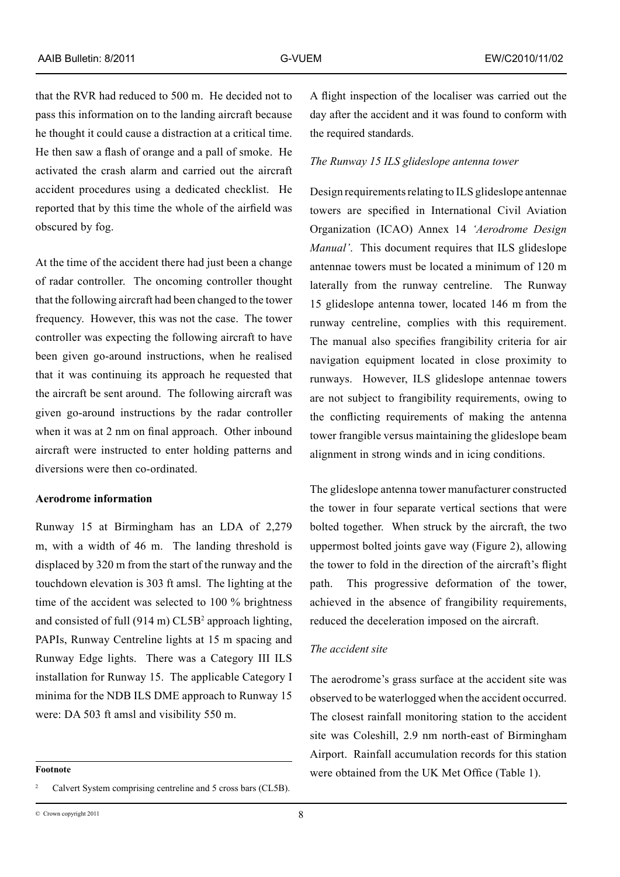that the RVR had reduced to 500 m. He decided not to pass this information on to the landing aircraft because he thought it could cause a distraction at a critical time. He then saw a flash of orange and a pall of smoke. He activated the crash alarm and carried out the aircraft accident procedures using a dedicated checklist. He reported that by this time the whole of the airfield was obscured by fog.

At the time of the accident there had just been a change of radar controller. The oncoming controller thought that the following aircraft had been changed to the tower frequency. However, this was not the case. The tower controller was expecting the following aircraft to have been given go-around instructions, when he realised that it was continuing its approach he requested that the aircraft be sent around. The following aircraft was given go-around instructions by the radar controller when it was at 2 nm on final approach. Other inbound aircraft were instructed to enter holding patterns and diversions were then co-ordinated.

## **Aerodrome information**

Runway 15 at Birmingham has an LDA of 2,279 m, with a width of 46 m. The landing threshold is displaced by 320 m from the start of the runway and the touchdown elevation is 303 ft amsl. The lighting at the time of the accident was selected to 100 % brightness and consisted of full  $(914 \text{ m})$  CL5B<sup>2</sup> approach lighting, PAPIs, Runway Centreline lights at 15 m spacing and Runway Edge lights. There was a Category III ILS installation for Runway 15. The applicable Category I minima for the NDB ILS DME approach to Runway 15 were: DA 503 ft amsl and visibility 550 m.

A flight inspection of the localiser was carried out the day after the accident and it was found to conform with the required standards.

#### *The Runway 15 ILS glideslope antenna tower*

Design requirements relating to ILS glideslope antennae towers are specified in International Civil Aviation Organization (ICAO) Annex 14 *'Aerodrome Design Manual'.* This document requires that ILS glideslope antennae towers must be located a minimum of 120 m laterally from the runway centreline. The Runway 15 glideslope antenna tower, located 146 m from the runway centreline, complies with this requirement. The manual also specifies frangibility criteria for air navigation equipment located in close proximity to runways. However, ILS glideslope antennae towers are not subject to frangibility requirements, owing to the conflicting requirements of making the antenna tower frangible versus maintaining the glideslope beam alignment in strong winds and in icing conditions.

The glideslope antenna tower manufacturer constructed the tower in four separate vertical sections that were bolted together. When struck by the aircraft, the two uppermost bolted joints gave way (Figure 2), allowing the tower to fold in the direction of the aircraft's flight path. This progressive deformation of the tower, achieved in the absence of frangibility requirements, reduced the deceleration imposed on the aircraft.

#### *The accident site*

The aerodrome's grass surface at the accident site was observed to be waterlogged when the accident occurred. The closest rainfall monitoring station to the accident site was Coleshill, 2.9 nm north-east of Birmingham Airport. Rainfall accumulation records for this station were obtained from the UK Met Office (Table 1).

**Footnote**

<sup>&</sup>lt;sup>2</sup> Calvert System comprising centreline and 5 cross bars (CL5B).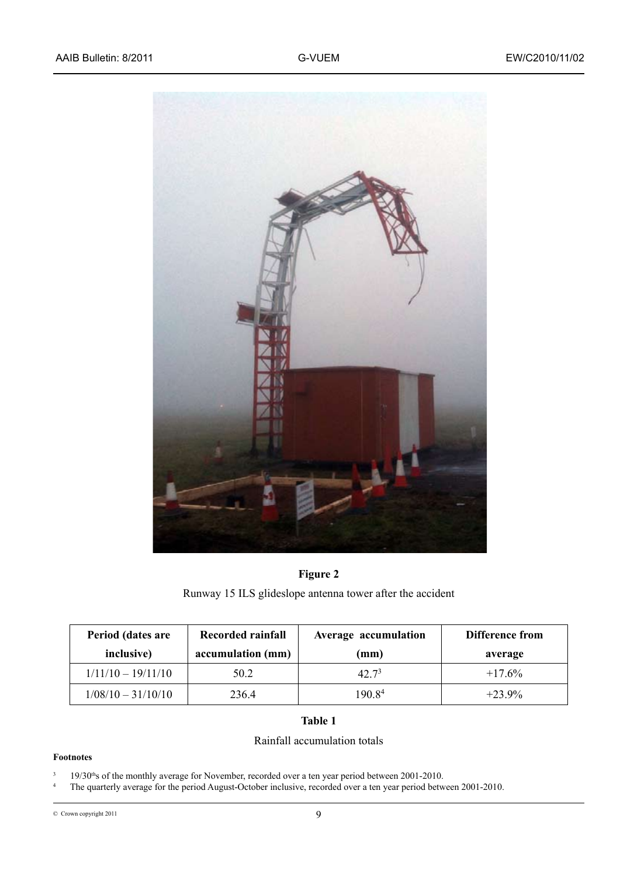

# **Figure 2**

Runway 15 ILS glideslope antenna tower after the accident

| Period (dates are    | Recorded rainfall | Average accumulation | Difference from |
|----------------------|-------------------|----------------------|-----------------|
| inclusive)           | accumulation (mm) | (mm)                 | average         |
| $1/11/10 - 19/11/10$ | 50.2              | 42.7 <sup>3</sup>    | $+17.6\%$       |
| $1/08/10 - 31/10/10$ | 236.4             | 190.8 <sup>4</sup>   | $+23.9\%$       |

# **Table 1**

## Rainfall accumulation totals

#### **Footnotes**

 $3 \text{ } 19/30$ <sup>th</sup>s of the monthly average for November, recorded over a ten year period between 2001-2010.

<sup>4</sup> The quarterly average for the period August-October inclusive, recorded over a ten year period between 2001-2010.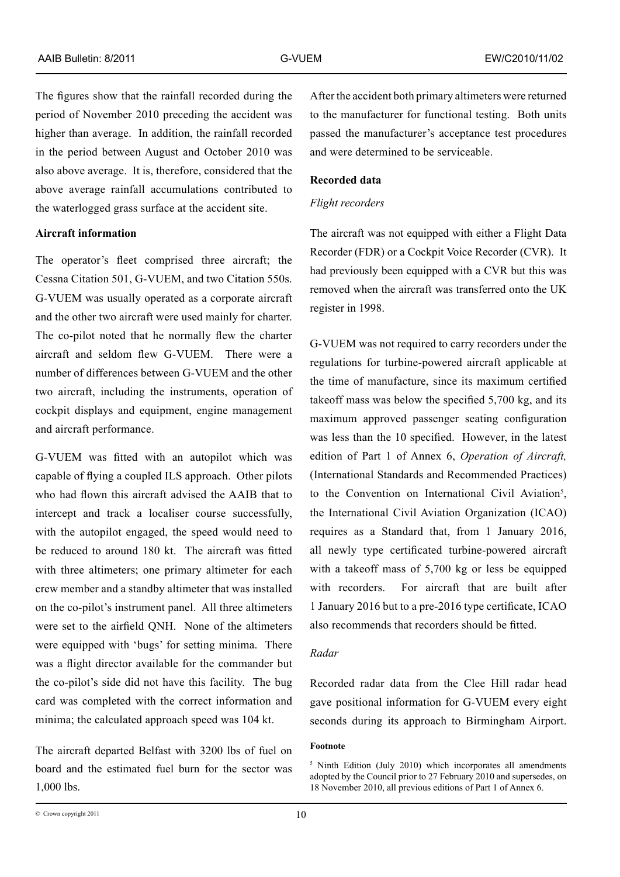The figures show that the rainfall recorded during the period of November 2010 preceding the accident was higher than average. In addition, the rainfall recorded in the period between August and October 2010 was also above average. It is, therefore, considered that the above average rainfall accumulations contributed to the waterlogged grass surface at the accident site.

## **Aircraft information**

The operator's fleet comprised three aircraft; the Cessna Citation 501, G-VUEM, and two Citation 550s. G-VUEM was usually operated as a corporate aircraft and the other two aircraft were used mainly for charter. The co-pilot noted that he normally flew the charter aircraft and seldom flew G-VUEM. There were a number of differences between G-VUEM and the other two aircraft, including the instruments, operation of cockpit displays and equipment, engine management and aircraft performance.

G-VUEM was fitted with an autopilot which was capable of flying a coupled ILS approach. Other pilots who had flown this aircraft advised the AAIB that to intercept and track a localiser course successfully, with the autopilot engaged, the speed would need to be reduced to around 180 kt. The aircraft was fitted with three altimeters; one primary altimeter for each crew member and a standby altimeter that was installed on the co-pilot's instrument panel. All three altimeters were set to the airfield QNH. None of the altimeters were equipped with 'bugs' for setting minima. There was a flight director available for the commander but the co-pilot's side did not have this facility. The bug card was completed with the correct information and minima; the calculated approach speed was 104 kt.

The aircraft departed Belfast with 3200 lbs of fuel on board and the estimated fuel burn for the sector was 1,000 lbs.

After the accident both primary altimeters were returned to the manufacturer for functional testing. Both units passed the manufacturer's acceptance test procedures and were determined to be serviceable.

## **Recorded data**

### *Flight recorders*

The aircraft was not equipped with either a Flight Data Recorder (FDR) or a Cockpit Voice Recorder (CVR). It had previously been equipped with a CVR but this was removed when the aircraft was transferred onto the UK register in 1998.

G-VUEM was not required to carry recorders under the regulations for turbine-powered aircraft applicable at the time of manufacture, since its maximum certified takeoff mass was below the specified 5,700 kg, and its maximum approved passenger seating configuration was less than the 10 specified. However, in the latest edition of Part 1 of Annex 6, *Operation of Aircraft,* (International Standards and Recommended Practices) to the Convention on International Civil Aviation<sup>5</sup>, the International Civil Aviation Organization (ICAO) requires as a Standard that, from 1 January 2016, all newly type certificated turbine-powered aircraft with a takeoff mass of 5,700 kg or less be equipped with recorders. For aircraft that are built after 1 January 2016 but to a pre-2016 type certificate, ICAO also recommends that recorders should be fitted.

#### *Radar*

Recorded radar data from the Clee Hill radar head gave positional information for G-VUEM every eight seconds during its approach to Birmingham Airport.

### **Footnote**

<sup>&</sup>lt;sup>5</sup> Ninth Edition (July 2010) which incorporates all amendments adopted by the Council prior to 27 February 2010 and supersedes, on 18 November 2010, all previous editions of Part 1 of Annex 6.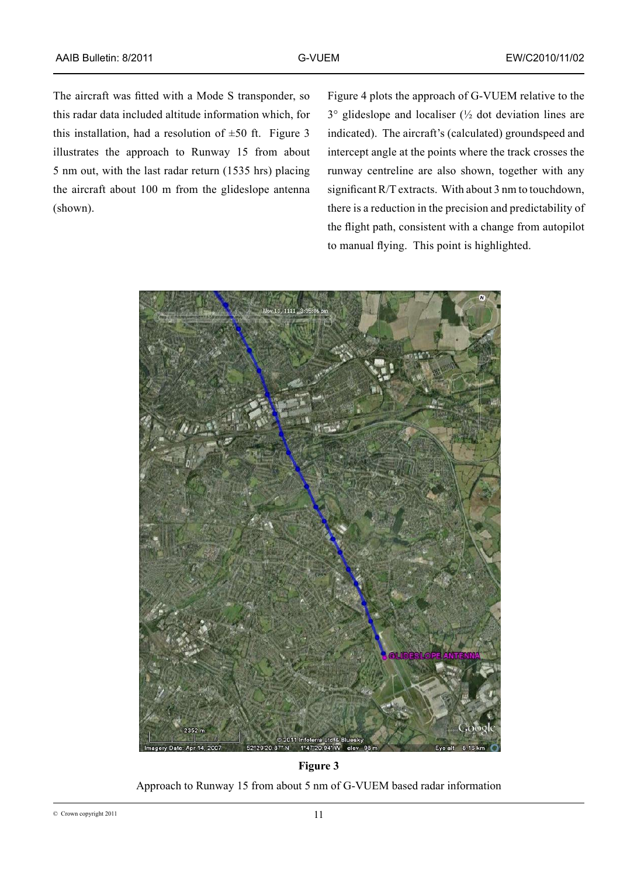The aircraft was fitted with a Mode S transponder, so this radar data included altitude information which, for this installation, had a resolution of  $\pm 50$  ft. Figure 3 illustrates the approach to Runway 15 from about 5 nm out, with the last radar return (1535 hrs) placing the aircraft about 100 m from the glideslope antenna (shown).

Figure 4 plots the approach of G-VUEM relative to the 3° glideslope and localiser (½ dot deviation lines are indicated). The aircraft's (calculated) groundspeed and intercept angle at the points where the track crosses the runway centreline are also shown, together with any significant R/T extracts. With about 3 nm to touchdown, there is a reduction in the precision and predictability of the flight path, consistent with a change from autopilot to manual flying. This point is highlighted.



**Figure 3** Approach to Runway 15 from about 5 nm of G-VUEM based radar information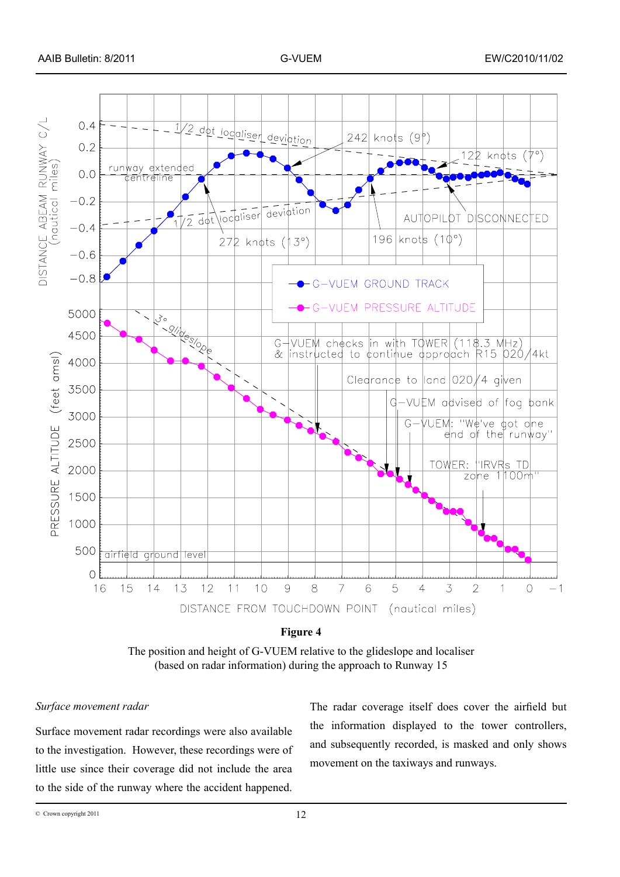

The position and height of G-VUEM relative to the glideslope and localiser (based on radar information) during the approach to Runway 15

## *Surface movement radar*

Surface movement radar recordings were also available to the investigation. However, these recordings were of little use since their coverage did not include the area to the side of the runway where the accident happened.

The radar coverage itself does cover the airfield but the information displayed to the tower controllers, and subsequently recorded, is masked and only shows movement on the taxiways and runways.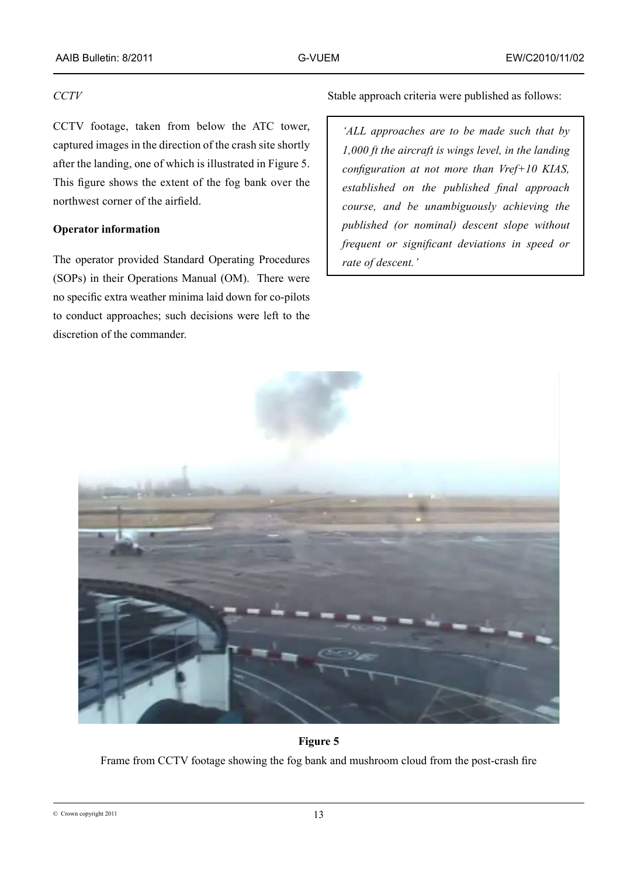# *CCTV*

CCTV footage, taken from below the ATC tower, captured images in the direction of the crash site shortly after the landing, one of which is illustrated in Figure 5. This figure shows the extent of the fog bank over the northwest corner of the airfield.

# **Operator information**

The operator provided Standard Operating Procedures (SOPs) in their Operations Manual (OM). There were no specific extra weather minima laid down for co-pilots to conduct approaches; such decisions were left to the discretion of the commander.

Stable approach criteria were published as follows:

*'ALL approaches are to be made such that by 1,000 ft the aircraft is wings level, in the landing configuration at not more than Vref+10 KIAS, established on the published final approach course, and be unambiguously achieving the published (or nominal) descent slope without frequent or significant deviations in speed or rate of descent.'*



**Figure 5**

Frame from CCTV footage showing the fog bank and mushroom cloud from the post-crash fire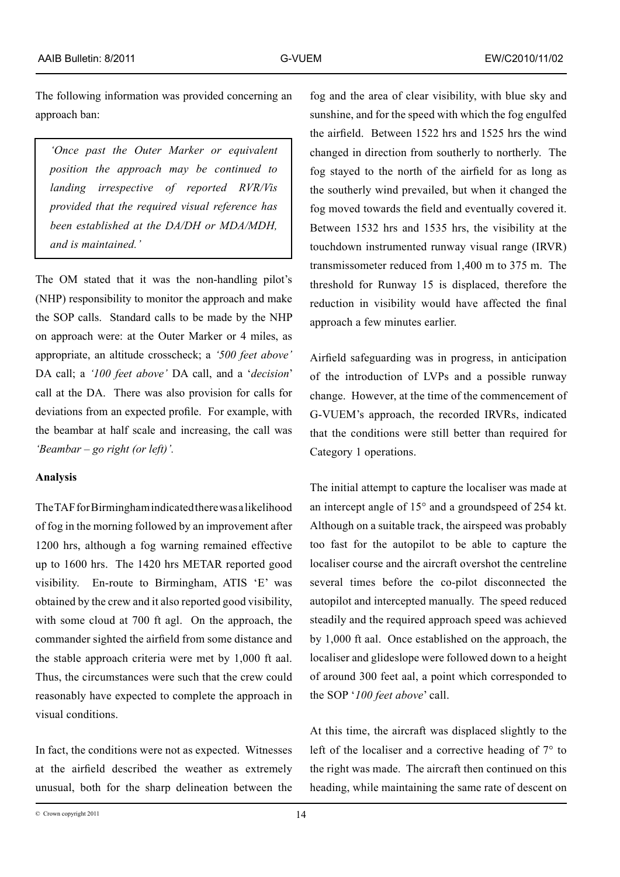The following information was provided concerning an approach ban:

*'Once past the Outer Marker or equivalent position the approach may be continued to landing irrespective of reported RVR/Vis provided that the required visual reference has been established at the DA/DH or MDA/MDH, and is maintained.'* 

The OM stated that it was the non-handling pilot's (NHP) responsibility to monitor the approach and make the SOP calls. Standard calls to be made by the NHP on approach were: at the Outer Marker or 4 miles, as appropriate, an altitude crosscheck; a *'500 feet above'* DA call; a *'100 feet above'* DA call, and a '*decision*' call at the DA. There was also provision for calls for deviations from an expected profile. For example, with the beambar at half scale and increasing, the call was *'Beambar – go right (or left)'.*

## **Analysis**

The TAF for Birmingham indicated there was a likelihood of fog in the morning followed by an improvement after 1200 hrs, although a fog warning remained effective up to 1600 hrs. The 1420 hrs METAR reported good visibility. En-route to Birmingham, ATIS 'E' was obtained by the crew and it also reported good visibility, with some cloud at 700 ft agl. On the approach, the commander sighted the airfield from some distance and the stable approach criteria were met by 1,000 ft aal. Thus, the circumstances were such that the crew could reasonably have expected to complete the approach in visual conditions.

In fact, the conditions were not as expected. Witnesses at the airfield described the weather as extremely unusual, both for the sharp delineation between the

fog and the area of clear visibility, with blue sky and sunshine, and for the speed with which the fog engulfed the airfield. Between 1522 hrs and 1525 hrs the wind changed in direction from southerly to northerly. The fog stayed to the north of the airfield for as long as the southerly wind prevailed, but when it changed the fog moved towards the field and eventually covered it. Between 1532 hrs and 1535 hrs, the visibility at the touchdown instrumented runway visual range (IRVR) transmissometer reduced from 1,400 m to 375 m. The threshold for Runway 15 is displaced, therefore the reduction in visibility would have affected the final approach a few minutes earlier.

Airfield safeguarding was in progress, in anticipation of the introduction of LVPs and a possible runway change. However, at the time of the commencement of G-VUEM's approach, the recorded IRVRs, indicated that the conditions were still better than required for Category 1 operations.

The initial attempt to capture the localiser was made at an intercept angle of 15° and a groundspeed of 254 kt. Although on a suitable track, the airspeed was probably too fast for the autopilot to be able to capture the localiser course and the aircraft overshot the centreline several times before the co-pilot disconnected the autopilot and intercepted manually. The speed reduced steadily and the required approach speed was achieved by 1,000 ft aal. Once established on the approach, the localiser and glideslope were followed down to a height of around 300 feet aal, a point which corresponded to the SOP '*100 feet above*' call.

At this time, the aircraft was displaced slightly to the left of the localiser and a corrective heading of 7° to the right was made. The aircraft then continued on this heading, while maintaining the same rate of descent on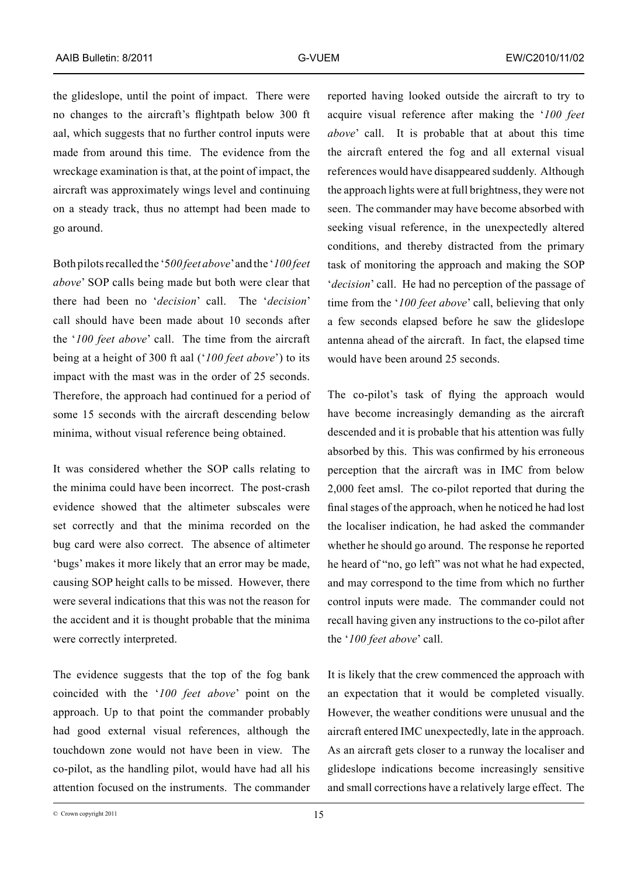the glideslope, until the point of impact. There were no changes to the aircraft's flightpath below 300 ft aal, which suggests that no further control inputs were made from around this time. The evidence from the wreckage examination is that, at the point of impact, the aircraft was approximately wings level and continuing on a steady track, thus no attempt had been made to go around.

Both pilots recalled the '5*00 feet above*' and the '*100 feet above*' SOP calls being made but both were clear that there had been no '*decision*' call. The '*decision*' call should have been made about 10 seconds after the '*100 feet above*' call. The time from the aircraft being at a height of 300 ft aal ('*100 feet above*') to its impact with the mast was in the order of 25 seconds. Therefore, the approach had continued for a period of some 15 seconds with the aircraft descending below minima, without visual reference being obtained.

It was considered whether the SOP calls relating to the minima could have been incorrect. The post-crash evidence showed that the altimeter subscales were set correctly and that the minima recorded on the bug card were also correct. The absence of altimeter 'bugs' makes it more likely that an error may be made, causing SOP height calls to be missed. However, there were several indications that this was not the reason for the accident and it is thought probable that the minima were correctly interpreted.

The evidence suggests that the top of the fog bank coincided with the '*100 feet above*' point on the approach. Up to that point the commander probably had good external visual references, although the touchdown zone would not have been in view. The co-pilot, as the handling pilot, would have had all his attention focused on the instruments. The commander reported having looked outside the aircraft to try to acquire visual reference after making the '*100 feet above*' call. It is probable that at about this time the aircraft entered the fog and all external visual references would have disappeared suddenly. Although the approach lights were at full brightness, they were not seen. The commander may have become absorbed with seeking visual reference, in the unexpectedly altered conditions, and thereby distracted from the primary task of monitoring the approach and making the SOP '*decision*' call. He had no perception of the passage of time from the '*100 feet above*' call, believing that only a few seconds elapsed before he saw the glideslope antenna ahead of the aircraft. In fact, the elapsed time would have been around 25 seconds.

The co-pilot's task of flying the approach would have become increasingly demanding as the aircraft descended and it is probable that his attention was fully absorbed by this. This was confirmed by his erroneous perception that the aircraft was in IMC from below 2,000 feet amsl. The co-pilot reported that during the final stages of the approach, when he noticed he had lost the localiser indication, he had asked the commander whether he should go around. The response he reported he heard of "no, go left" was not what he had expected, and may correspond to the time from which no further control inputs were made. The commander could not recall having given any instructions to the co-pilot after the '*100 feet above*' call.

It is likely that the crew commenced the approach with an expectation that it would be completed visually. However, the weather conditions were unusual and the aircraft entered IMC unexpectedly, late in the approach. As an aircraft gets closer to a runway the localiser and glideslope indications become increasingly sensitive and small corrections have a relatively large effect. The